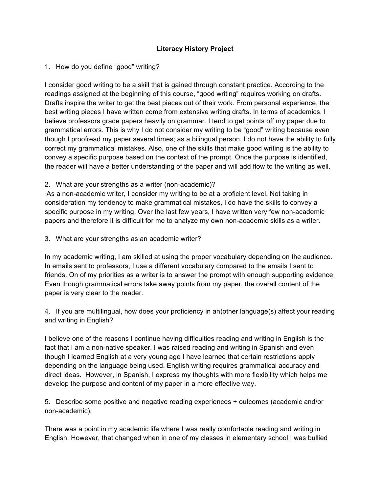## **Literacy History Project**

## 1. How do you define "good" writing?

I consider good writing to be a skill that is gained through constant practice. According to the readings assigned at the beginning of this course, "good writing" requires working on drafts. Drafts inspire the writer to get the best pieces out of their work. From personal experience, the best writing pieces I have written come from extensive writing drafts. In terms of academics, I believe professors grade papers heavily on grammar. I tend to get points off my paper due to grammatical errors. This is why I do not consider my writing to be "good" writing because even though I proofread my paper several times; as a bilingual person, I do not have the ability to fully correct my grammatical mistakes. Also, one of the skills that make good writing is the ability to convey a specific purpose based on the context of the prompt. Once the purpose is identified, the reader will have a better understanding of the paper and will add flow to the writing as well.

## 2. What are your strengths as a writer (non-academic)?

As a non-academic writer, I consider my writing to be at a proficient level. Not taking in consideration my tendency to make grammatical mistakes, I do have the skills to convey a specific purpose in my writing. Over the last few years, I have written very few non-academic papers and therefore it is difficult for me to analyze my own non-academic skills as a writer.

3. What are your strengths as an academic writer?

In my academic writing, I am skilled at using the proper vocabulary depending on the audience. In emails sent to professors, I use a different vocabulary compared to the emails I sent to friends. On of my priorities as a writer is to answer the prompt with enough supporting evidence. Even though grammatical errors take away points from my paper, the overall content of the paper is very clear to the reader.

4. If you are multilingual, how does your proficiency in an)other language(s) affect your reading and writing in English?

I believe one of the reasons I continue having difficulties reading and writing in English is the fact that I am a non-native speaker. I was raised reading and writing in Spanish and even though I learned English at a very young age I have learned that certain restrictions apply depending on the language being used. English writing requires grammatical accuracy and direct ideas. However, in Spanish, I express my thoughts with more flexibility which helps me develop the purpose and content of my paper in a more effective way.

5. Describe some positive and negative reading experiences + outcomes (academic and/or non-academic).

There was a point in my academic life where I was really comfortable reading and writing in English. However, that changed when in one of my classes in elementary school I was bullied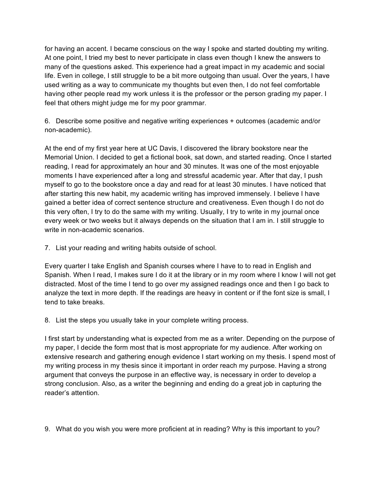for having an accent. I became conscious on the way I spoke and started doubting my writing. At one point, I tried my best to never participate in class even though I knew the answers to many of the questions asked. This experience had a great impact in my academic and social life. Even in college, I still struggle to be a bit more outgoing than usual. Over the years, I have used writing as a way to communicate my thoughts but even then, I do not feel comfortable having other people read my work unless it is the professor or the person grading my paper. I feel that others might judge me for my poor grammar.

6. Describe some positive and negative writing experiences + outcomes (academic and/or non-academic).

At the end of my first year here at UC Davis, I discovered the library bookstore near the Memorial Union. I decided to get a fictional book, sat down, and started reading. Once I started reading, I read for approximately an hour and 30 minutes. It was one of the most enjoyable moments I have experienced after a long and stressful academic year. After that day, I push myself to go to the bookstore once a day and read for at least 30 minutes. I have noticed that after starting this new habit, my academic writing has improved immensely. I believe I have gained a better idea of correct sentence structure and creativeness. Even though I do not do this very often, I try to do the same with my writing. Usually, I try to write in my journal once every week or two weeks but it always depends on the situation that I am in. I still struggle to write in non-academic scenarios.

7. List your reading and writing habits outside of school.

Every quarter I take English and Spanish courses where I have to to read in English and Spanish. When I read, I makes sure I do it at the library or in my room where I know I will not get distracted. Most of the time I tend to go over my assigned readings once and then I go back to analyze the text in more depth. If the readings are heavy in content or if the font size is small, I tend to take breaks.

8. List the steps you usually take in your complete writing process.

I first start by understanding what is expected from me as a writer. Depending on the purpose of my paper, I decide the form most that is most appropriate for my audience. After working on extensive research and gathering enough evidence I start working on my thesis. I spend most of my writing process in my thesis since it important in order reach my purpose. Having a strong argument that conveys the purpose in an effective way, is necessary in order to develop a strong conclusion. Also, as a writer the beginning and ending do a great job in capturing the reader's attention.

9. What do you wish you were more proficient at in reading? Why is this important to you?